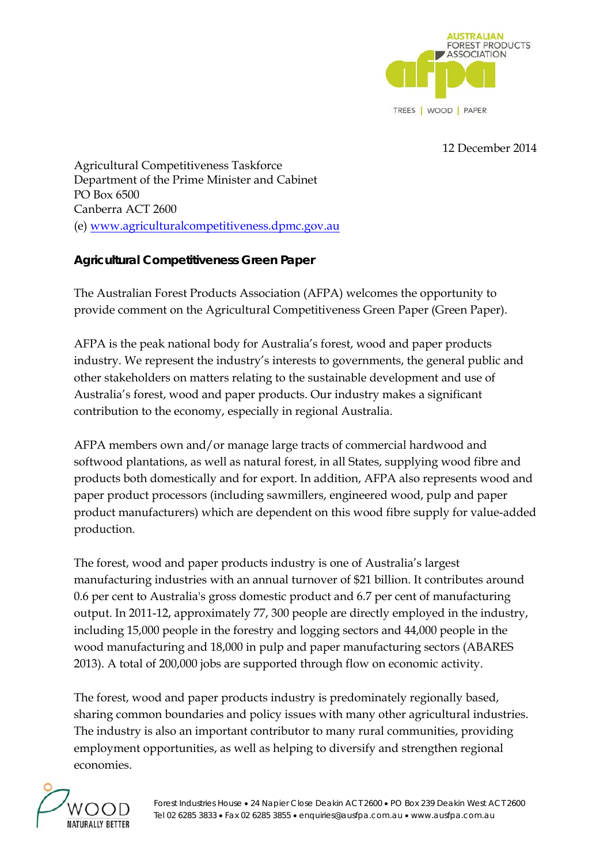

12 December 2014

Agricultural Competitiveness Taskforce Department of the Prime Minister and Cabinet PO Box 6500 Canberra ACT 2600 (e) www.agriculturalcompetitiveness.dpmc.gov.au

## **Agricultural Competitiveness Green Paper**

The Australian Forest Products Association (AFPA) welcomes the opportunity to provide comment on the Agricultural Competitiveness Green Paper (Green Paper).

AFPA is the peak national body for Australia's forest, wood and paper products industry. We represent the industry's interests to governments, the general public and other stakeholders on matters relating to the sustainable development and use of Australia's forest, wood and paper products. Our industry makes a significant contribution to the economy, especially in regional Australia.

AFPA members own and/or manage large tracts of commercial hardwood and softwood plantations, as well as natural forest, in all States, supplying wood fibre and products both domestically and for export. In addition, AFPA also represents wood and paper product processors (including sawmillers, engineered wood, pulp and paper product manufacturers) which are dependent on this wood fibre supply for value-added production.

The forest, wood and paper products industry is one of Australia's largest manufacturing industries with an annual turnover of \$21 billion. It contributes around 0.6 per cent to Australia's gross domestic product and 6.7 per cent of manufacturing output. In 2011-12, approximately 77, 300 people are directly employed in the industry, including 15,000 people in the forestry and logging sectors and 44,000 people in the wood manufacturing and 18,000 in pulp and paper manufacturing sectors (ABARES 2013). A total of 200,000 jobs are supported through flow on economic activity.

The forest, wood and paper products industry is predominately regionally based, sharing common boundaries and policy issues with many other agricultural industries. The industry is also an important contributor to many rural communities, providing employment opportunities, as well as helping to diversify and strengthen regional economies.

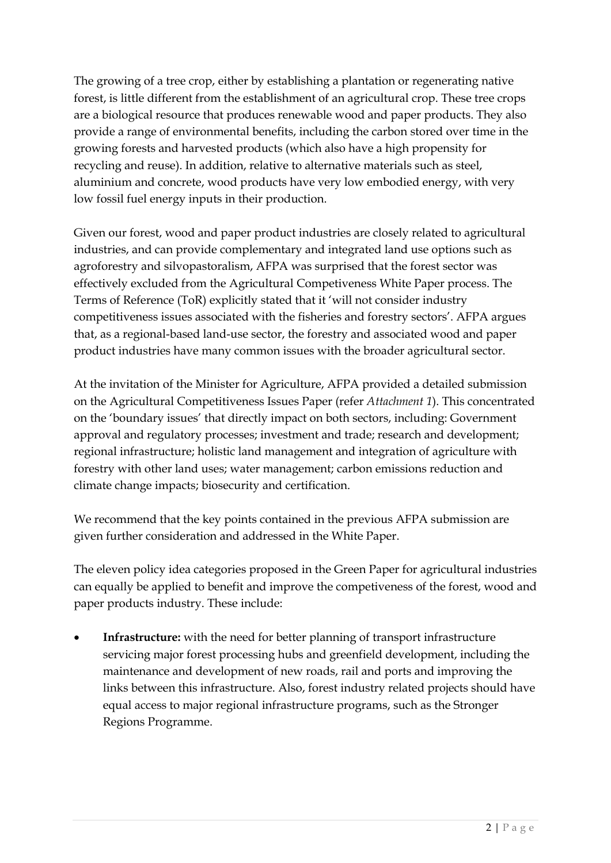The growing of a tree crop, either by establishing a plantation or regenerating native forest, is little different from the establishment of an agricultural crop. These tree crops are a biological resource that produces renewable wood and paper products. They also provide a range of environmental benefits, including the carbon stored over time in the growing forests and harvested products (which also have a high propensity for recycling and reuse). In addition, relative to alternative materials such as steel, aluminium and concrete, wood products have very low embodied energy, with very low fossil fuel energy inputs in their production.

Given our forest, wood and paper product industries are closely related to agricultural industries, and can provide complementary and integrated land use options such as agroforestry and silvopastoralism, AFPA was surprised that the forest sector was effectively excluded from the Agricultural Competiveness White Paper process. The Terms of Reference (ToR) explicitly stated that it 'will not consider industry competitiveness issues associated with the fisheries and forestry sectors'. AFPA argues that, as a regional-based land-use sector, the forestry and associated wood and paper product industries have many common issues with the broader agricultural sector.

At the invitation of the Minister for Agriculture, AFPA provided a detailed submission on the Agricultural Competitiveness Issues Paper (refer *Attachment 1*). This concentrated on the 'boundary issues' that directly impact on both sectors, including: Government approval and regulatory processes; investment and trade; research and development; regional infrastructure; holistic land management and integration of agriculture with forestry with other land uses; water management; carbon emissions reduction and climate change impacts; biosecurity and certification.

We recommend that the key points contained in the previous AFPA submission are given further consideration and addressed in the White Paper.

The eleven policy idea categories proposed in the Green Paper for agricultural industries can equally be applied to benefit and improve the competiveness of the forest, wood and paper products industry. These include:

 **Infrastructure:** with the need for better planning of transport infrastructure servicing major forest processing hubs and greenfield development, including the maintenance and development of new roads, rail and ports and improving the links between this infrastructure. Also, forest industry related projects should have equal access to major regional infrastructure programs, such as the Stronger Regions Programme.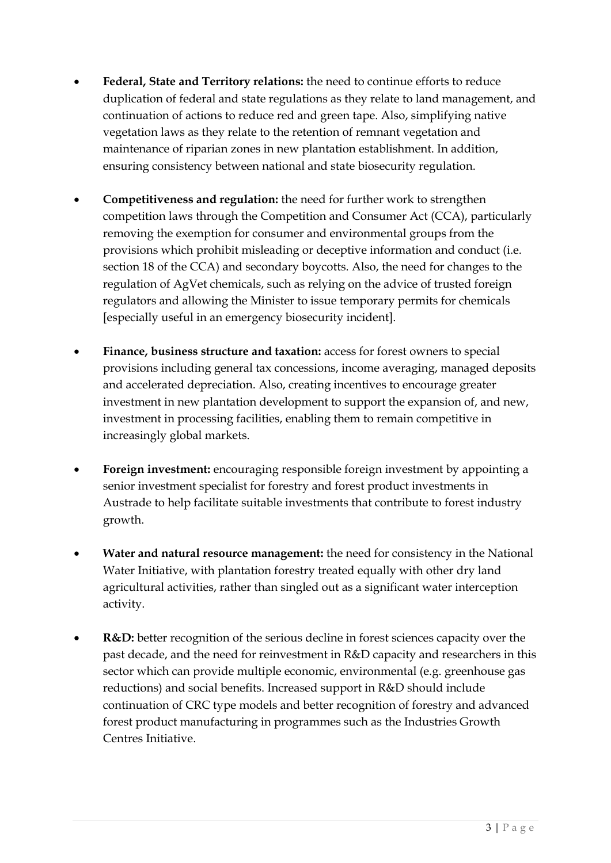- **Federal, State and Territory relations:** the need to continue efforts to reduce duplication of federal and state regulations as they relate to land management, and continuation of actions to reduce red and green tape. Also, simplifying native vegetation laws as they relate to the retention of remnant vegetation and maintenance of riparian zones in new plantation establishment. In addition, ensuring consistency between national and state biosecurity regulation.
- **Competitiveness and regulation:** the need for further work to strengthen competition laws through the Competition and Consumer Act (CCA), particularly removing the exemption for consumer and environmental groups from the provisions which prohibit misleading or deceptive information and conduct (i.e. section 18 of the CCA) and secondary boycotts. Also, the need for changes to the regulation of AgVet chemicals, such as relying on the advice of trusted foreign regulators and allowing the Minister to issue temporary permits for chemicals [especially useful in an emergency biosecurity incident].
- **Finance, business structure and taxation:** access for forest owners to special provisions including general tax concessions, income averaging, managed deposits and accelerated depreciation. Also, creating incentives to encourage greater investment in new plantation development to support the expansion of, and new, investment in processing facilities, enabling them to remain competitive in increasingly global markets.
- **Foreign investment:** encouraging responsible foreign investment by appointing a senior investment specialist for forestry and forest product investments in Austrade to help facilitate suitable investments that contribute to forest industry growth.
- **Water and natural resource management:** the need for consistency in the National Water Initiative, with plantation forestry treated equally with other dry land agricultural activities, rather than singled out as a significant water interception activity.
- **R&D:** better recognition of the serious decline in forest sciences capacity over the past decade, and the need for reinvestment in R&D capacity and researchers in this sector which can provide multiple economic, environmental (e.g. greenhouse gas reductions) and social benefits. Increased support in R&D should include continuation of CRC type models and better recognition of forestry and advanced forest product manufacturing in programmes such as the Industries Growth Centres Initiative.